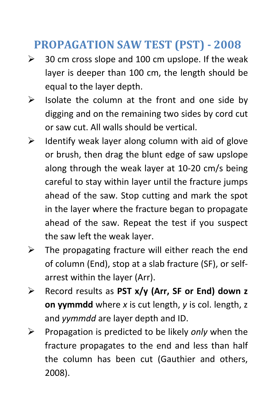## **PROPAGATION SAW TEST (PST) 2008**

- $\geq$  30 cm cross slope and 100 cm upslope. If the weak layer is deeper than 100 cm, the length should be equal to the layer depth.
- $\triangleright$  Isolate the column at the front and one side by digging and on the remaining two sides by cord cut or saw cut. All walls should be vertical.
- $\triangleright$  Identify weak layer along column with aid of glove or brush, then drag the blunt edge of saw upslope along through the weak layer at 10‐20 cm/s being careful to stay within layer until the fracture jumps ahead of the saw. Stop cutting and mark the spot in the layer where the fracture began to propagate ahead of the saw. Repeat the test if you suspect the saw left the weak layer.
- $\triangleright$  The propagating fracture will either reach the end of column (End), stop at a slab fracture (SF), or self‐ arrest within the layer (Arr).
- ¾ Record results as **PST x/y (Arr, SF or End) down z on yymmdd** where *x* is cut length, *y* is col. length, z and *yymmdd* are layer depth and ID.
- ¾ Propagation is predicted to be likely *only* when the fracture propagates to the end and less than half the column has been cut (Gauthier and others, 2008).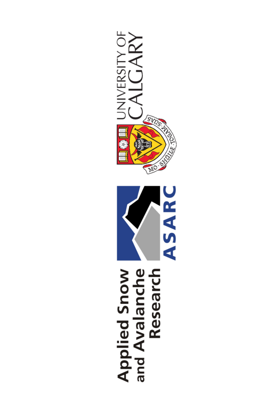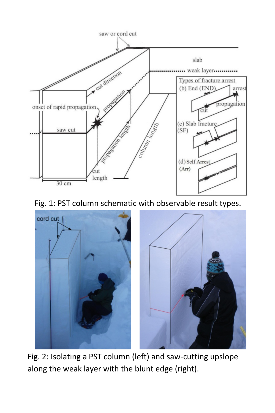

Fig. 1: PST column schematic with observable result types.



Fig. 2: Isolating a PST column (left) and saw-cutting upslope along the weak layer with the blunt edge (right).